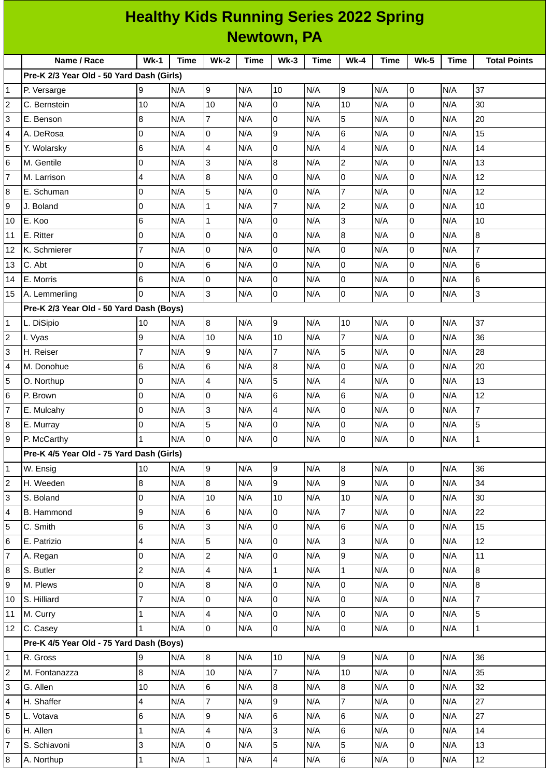|                | <b>Healthy Kids Running Series 2022 Spring</b> |                 |      |                         |             |                         |             |                 |             |                |             |                     |  |
|----------------|------------------------------------------------|-----------------|------|-------------------------|-------------|-------------------------|-------------|-----------------|-------------|----------------|-------------|---------------------|--|
|                | <b>Newtown, PA</b>                             |                 |      |                         |             |                         |             |                 |             |                |             |                     |  |
|                | Name / Race                                    | $Wk-1$          | Time | <b>Wk-2</b>             | <b>Time</b> | $Wk-3$                  | <b>Time</b> | $Wk-4$          | <b>Time</b> | <b>Wk-5</b>    | <b>Time</b> | <b>Total Points</b> |  |
|                | Pre-K 2/3 Year Old - 50 Yard Dash (Girls)      |                 |      |                         |             |                         |             |                 |             |                |             |                     |  |
| 1              | P. Versarge                                    | 9               | N/A  | 9                       | N/A         | 10                      | N/A         | 9               | N/A         | $\overline{0}$ | N/A         | 37                  |  |
| $\overline{c}$ | C. Bernstein                                   | 10              | N/A  | 10                      | N/A         | 0                       | N/A         | 10              | N/A         | 0              | N/A         | 30                  |  |
| 3              | E. Benson                                      | 8               | N/A  | $\overline{7}$          | N/A         | $\overline{0}$          | N/A         | 5               | N/A         | l0             | N/A         | 20                  |  |
| 4              | A. DeRosa                                      | O               | N/A  | 0                       | N/A         | 9                       | N/A         | 6               | N/A         | l0             | N/A         | 15                  |  |
| 5              | Y. Wolarsky                                    | 6               | N/A  | $\overline{4}$          | N/A         | $\overline{0}$          | N/A         | $\overline{4}$  | N/A         | l0             | N/A         | 14                  |  |
| 6              | M. Gentile                                     | O               | N/A  | 3                       | N/A         | 8                       | N/A         | $\overline{c}$  | N/A         | l0             | N/A         | 13                  |  |
| $\overline{7}$ | M. Larrison                                    | 4               | N/A  | $\overline{8}$          | N/A         | $\mathsf 0$             | N/A         | l0              | N/A         | lo             | N/A         | 12                  |  |
| 8              | E. Schuman                                     | O               | N/A  | 5                       | N/A         | $\overline{0}$          | N/A         | $\overline{7}$  | N/A         | lo             | N/A         | 12                  |  |
| 9              | J. Boland                                      | 0               | N/A  | $\mathbf{1}$            | N/A         | $\overline{7}$          | N/A         | $\overline{c}$  | N/A         | l0             | N/A         | 10                  |  |
| 10             | E. Koo                                         | 6               | N/A  | $\mathbf 1$             | N/A         | 0                       | N/A         | 3               | N/A         | $\overline{0}$ | N/A         | 10                  |  |
| 11             | E. Ritter                                      | O               | N/A  | $\overline{0}$          | N/A         | $\overline{0}$          | N/A         | $\overline{8}$  | N/A         | l0             | N/A         | 8                   |  |
| 12             | K. Schmierer                                   | $\overline{7}$  | N/A  | 0                       | N/A         | 0                       | N/A         | l0              | N/A         | 0              | N/A         | $\overline{7}$      |  |
| 13             | C. Abt                                         | 0               | N/A  | 6                       | N/A         | $\mathbf 0$             | N/A         | 0               | N/A         | l0             | N/A         | 6                   |  |
| 14             | E. Morris                                      | $6\phantom{.}6$ | N/A  | $\overline{0}$          | N/A         | $\mathbf 0$             | N/A         | Iо              | N/A         | l0             | N/A         | $6\phantom{1}$      |  |
| 15             | A. Lemmerling                                  | $\Omega$        | N/A  | Iз                      | N/A         | l0                      | N/A         | l0              | N/A         | lo             | N/A         | 3                   |  |
|                | Pre-K 2/3 Year Old - 50 Yard Dash (Boys)       |                 |      |                         |             |                         |             |                 |             |                |             |                     |  |
| 1              | L. DiSipio                                     | 10              | N/A  | 8                       | N/A         | 9                       | N/A         | 10              | N/A         | l0             | N/A         | 37                  |  |
| $\overline{c}$ | I. Vyas                                        | 9               | N/A  | 10                      | N/A         | 10                      | N/A         | 7               | N/A         | 0              | N/A         | 36                  |  |
| 3              | H. Reiser                                      | $\overline{7}$  | N/A  | g                       | N/A         | $\overline{7}$          | N/A         | 5               | N/A         | l0             | N/A         | 28                  |  |
| 4              | M. Donohue                                     | 6               | N/A  | 6                       | N/A         | $\boldsymbol{8}$        | N/A         | 0               | N/A         | 0              | N/A         | 20                  |  |
| 5              | O. Northup                                     | 0               | N/A  | $\overline{4}$          | N/A         | 5                       | N/A         | $\overline{4}$  | N/A         | l0             | N/A         | 13                  |  |
| 6              | P. Brown                                       | O               | N/A  | 0                       | N/A         | 6                       | N/A         | 6               | N/A         | l0             | N/A         | 12                  |  |
| 7              | E. Mulcahy                                     | 0               | N/A  | 3                       | N/A         | $\overline{\mathbf{4}}$ | N/A         | 0               | N/A         | lo             | N/A         | $\overline{7}$      |  |
| 8              | E. Murray                                      | $\overline{0}$  | N/A  | 5                       | N/A         | l0                      | N/A         | O               | N/A         | l0             | N/A         | 5                   |  |
| 9              | P. McCarthy                                    | $\mathbf{1}$    | N/A  | l0                      | N/A         | l0                      | N/A         | lo              | N/A         | lo             | N/A         | $\mathbf{1}$        |  |
|                | Pre-K 4/5 Year Old - 75 Yard Dash (Girls)      |                 |      |                         |             |                         |             |                 |             |                |             |                     |  |
| $\mathbf 1$    | W. Ensig                                       | 10              | N/A  | 9                       | N/A         | $\boldsymbol{9}$        | N/A         | $\overline{8}$  | N/A         | 0              | N/A         | 36                  |  |
| $\overline{c}$ | H. Weeden                                      | 8               | N/A  | 8                       | N/A         | 9                       | N/A         | l9              | N/A         | l0             | N/A         | 34                  |  |
| 3              | S. Boland                                      | 0               | N/A  | 10                      | N/A         | 10                      | N/A         | 10              | N/A         | lo             | N/A         | 30                  |  |
| 4              | B. Hammond                                     | 9               | N/A  | 6                       | N/A         | $\pmb{0}$               | N/A         | $\overline{7}$  | N/A         | l0             | N/A         | 22                  |  |
| 5              | C. Smith                                       | 6               | N/A  | 3                       | N/A         | $\pmb{0}$               | N/A         | $\,6$           | N/A         | lo             | N/A         | 15                  |  |
| 6              | E. Patrizio                                    | 4               | N/A  | $\overline{5}$          | N/A         | $\mathsf{O}$            | N/A         | $\overline{3}$  | N/A         | lo             | N/A         | 12                  |  |
| 7              | A. Regan                                       | 0               | N/A  | $\mathbf{2}$            | N/A         | 0                       | N/A         | l9              | N/A         | l0             | N/A         | $11\,$              |  |
| 8              | S. Butler                                      | $\overline{c}$  | N/A  | $\overline{4}$          | N/A         | $\mathbf 1$             | N/A         | $\mathbf 1$     | N/A         | O              | N/A         | 8                   |  |
| 9              | M. Plews                                       | $\mathsf 0$     | N/A  | 8                       | N/A         | $\mathsf 0$             | N/A         | lo              | N/A         | lo             | N/A         | 8                   |  |
| 10             | S. Hilliard                                    | $\overline{7}$  | N/A  | l0                      | N/A         | $\pmb{0}$               | N/A         | l0              | N/A         | l0             | N/A         | $\overline{7}$      |  |
| 11             | M. Curry                                       | $\mathbf{1}$    | N/A  | $\overline{4}$          | N/A         | $\mathsf 0$             | N/A         | 0               | N/A         | lo             | N/A         | 5                   |  |
| 12             | C. Casey                                       | $\mathbf{1}$    | N/A  | l0                      | N/A         | $\overline{0}$          | N/A         | l0              | N/A         | O              | N/A         | $\mathbf{1}$        |  |
|                | Pre-K 4/5 Year Old - 75 Yard Dash (Boys)       |                 |      |                         |             |                         |             |                 |             |                |             |                     |  |
| 1              | R. Gross                                       | 9               | N/A  | 8                       | N/A         | 10                      | N/A         | $\overline{9}$  | N/A         | lo             | N/A         | 36                  |  |
| 2              | M. Fontanazza                                  | 8               | N/A  | 10                      | N/A         | $\overline{7}$          | N/A         | 10              | N/A         | lo             | N/A         | 35                  |  |
| 3              | G. Allen                                       | 10              | N/A  | 6                       | N/A         | $\, 8$                  | N/A         | 8               | N/A         | 0              | N/A         | 32                  |  |
| 4              | H. Shaffer                                     | 4               | N/A  | $\overline{7}$          | N/A         | 9                       | N/A         | $\overline{7}$  | N/A         | lo             | N/A         | 27                  |  |
| 5              | L. Votava                                      | 6               | N/A  | 9                       | N/A         | $\,$ 6                  | N/A         | 6               | N/A         | lo             | N/A         | 27                  |  |
| 6              | H. Allen                                       | 1               | N/A  | $\overline{\mathbf{4}}$ | N/A         | 3                       | N/A         | $\,6$           | N/A         | l0             | N/A         | 14                  |  |
| 7              | S. Schiavoni                                   | 3               | N/A  | 0                       | N/A         | 5                       | N/A         | $\overline{5}$  | N/A         | lo             | N/A         | 13                  |  |
| 8              | A. Northup                                     | $\overline{1}$  | N/A  | $\mathbf 1$             | N/A         | $\overline{\mathbf{4}}$ | N/A         | $6\overline{6}$ | N/A         | $\overline{0}$ | N/A         | $12\,$              |  |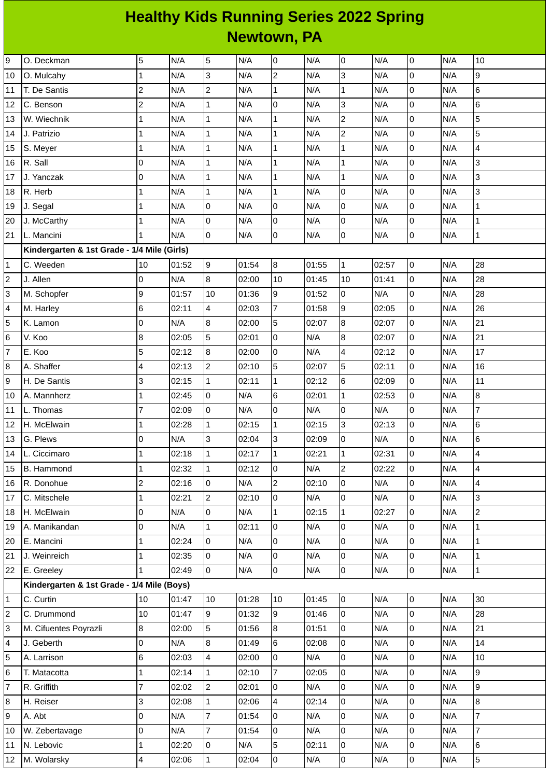## **Healthy Kids Running Series 2022 Spring Newtown, PA**

| 0<br>0<br>N/A<br>0<br>10<br>O. Deckman<br>$\overline{c}$<br>3<br>3<br>N/A<br>$\mathsf 0$<br>N/A<br>9<br>$\mathbf{1}$<br>N/A<br>N/A<br>N/A<br>O. Mulcahy<br>$\overline{c}$<br>6<br>$\overline{c}$<br>$\mathbf{1}$<br>$\overline{0}$<br>T. De Santis<br>N/A<br>N/A<br>N/A<br>$\mathbf{1}$<br>N/A<br>N/A<br>11<br>$\overline{c}$<br>$\mathbf{1}$<br>0<br>3<br>$\mathsf 0$<br>N/A<br>$6\phantom{1}$<br>N/A<br>N/A<br>N/A<br>N/A<br>12<br>C. Benson<br>5<br>$\mathsf 0$<br>$\overline{c}$<br>N/A<br>N/A<br>W. Wiechnik<br>N/A<br>$\mathbf 1$<br>N/A<br>$\mathbf 1$<br>N/A<br>13<br>$\mathbf{1}$<br>$\mathbf{1}$<br>5<br>$\mathbf{1}$<br>$\overline{c}$<br>$\mathsf 0$<br>N/A<br>J. Patrizio<br>$\mathbf{1}$<br>N/A<br>N/A<br>N/A<br>N/A<br>14<br>$\mathsf 0$<br>N/A<br>$\mathbf{1}$<br>N/A<br>$\mathbf 1$<br>N/A<br>$\mathbf 1$<br>N/A<br>N/A<br>4<br>S. Meyer<br>$\mathbf{1}$<br>15<br>$\mathsf 0$<br>3<br>$\mathbf{1}$<br>$\mathbf{1}$<br>R. Sall<br>0<br>N/A<br>N/A<br>N/A<br>$\mathbf 1$<br>N/A<br>N/A<br>16<br>$\overline{0}$<br>3<br>J. Yanczak<br>$\mathbf{1}$<br>N/A<br>N/A<br>N/A<br>0<br>N/A<br>$\mathbf 1$<br>N/A<br>$\mathbf 1$<br>17<br>3<br>$\mathbf 1$<br>$\mathbf 1$<br>$\overline{0}$<br>N/A<br>R. Herb<br>$\mathbf{1}$<br>N/A<br>N/A<br>N/A<br>$\overline{0}$<br>N/A<br>18<br>0<br>0<br>$\mathsf{O}\xspace$<br>$\mathbf 1$<br>N/A<br>N/A<br>N/A<br>0<br>N/A<br>N/A<br>$\overline{1}$<br>19<br>J. Segal<br>$\mathsf 0$<br>0<br>N/A<br>N/A<br>$\mathsf 0$<br>N/A<br>$\mathbf{1}$<br>J. McCarthy<br>N/A<br>N/A<br>0<br>20<br>1<br>0<br>$\overline{0}$<br>$\mathbf 1$<br>$\overline{0}$<br>$\overline{0}$<br>L. Mancini<br>N/A<br>N/A<br>N/A<br>N/A<br>$\overline{1}$<br>N/A<br>Kindergarten & 1st Grade - 1/4 Mile (Girls)<br>$\boldsymbol{9}$<br>28<br>C. Weeden<br>01:54<br>8<br>01:55<br>$\mathbf{1}$<br>02:57<br>$\overline{0}$<br>N/A<br>10<br>01:52<br>1<br>8<br>28<br>J. Allen<br>$\overline{0}$<br>N/A<br>10<br>10<br>$\mathsf 0$<br>N/A<br>2<br>02:00<br>01:45<br>01:41<br>9<br>$\overline{0}$<br>0<br>28<br>3<br>9<br>10<br>01:52<br>N/A<br>M. Schopfer<br>01:57<br>01:36<br>N/A<br>$\overline{7}$<br>26<br>9<br>$\mathsf 0$<br>4<br>6<br>02:11<br>4<br>02:03<br>01:58<br>02:05<br>N/A<br>M. Harley<br>5<br>$\bf 8$<br>21<br>8<br>$\mathbf 0$<br>5<br>0<br>N/A<br>02:00<br>02:07<br>N/A<br>K. Lamon<br>02:07<br>5<br>0<br>8<br>0<br>N/A<br>21<br>8<br>02:01<br>N/A<br>6<br><b>V. Koo</b><br>02:05<br>02:07<br>5<br>$\overline{0}$<br>$\overline{7}$<br>$\, 8$<br>$\overline{\mathcal{A}}$<br>$17\,$<br>02:12<br>02:00<br>0<br>N/A<br>02:12<br>N/A<br>E. Koo<br>5<br>$\overline{c}$<br>5<br>16<br>$\mathsf 0$<br>N/A<br>8<br>A. Shaffer<br>4<br>02:13<br>02:10<br>02:07<br>02:11<br>3<br>$\mathbf{1}$<br>6<br>0<br>N/A<br>11<br>H. De Santis<br>02:15<br>02:11<br>$\mathbf 1$<br>02:12<br>02:09<br>$\mathsf 0$<br>6<br>$\mathsf 0$<br>8<br>N/A<br>N/A<br>A. Mannherz<br>02:45<br>02:01<br>$\mathbf{1}$<br>02:53<br>10<br>1<br>$\overline{7}$<br>0<br>$\overline{7}$<br>$\mathsf 0$<br>0<br>0<br>N/A<br>N/A<br>L. Thomas<br>02:09<br>N/A<br>N/A<br>11<br>6<br>$\mathbf 1$<br>$\mathbf{1}$<br>3<br>$\mathsf 0$<br>N/A<br>H. McElwain<br>$\mathbf{1}$<br>02:28<br>02:15<br>02:15<br>02:13<br>12<br>3<br>3<br>$\overline{0}$<br>6<br>N/A<br>0<br>N/A<br>N/A<br>G. Plews<br>0<br>02:04<br>02:09<br>13<br>$\mathsf 0$<br>4<br>$\mathbf 1$<br>$\mathbf 1$<br>02:21<br>02:31<br>N/A<br>02:18<br>02:17<br>$\mathbf{1}$<br>14<br>L. Ciccimaro<br>$\mathbf{1}$<br>$\overline{c}$<br>N/A<br>$\overline{0}$<br>N/A<br>02:32<br>02:12<br>0<br>02:22<br>4<br>15<br>B. Hammond<br>$\mathbf{1}$<br>$\vert$ 1<br>$\overline{c}$<br>$\overline{c}$<br>$\overline{0}$<br>0<br>4<br>$\pmb{0}$<br>N/A<br>R. Donohue<br>02:16<br>02:10<br>N/A<br>N/A<br>16<br>$\overline{c}$<br>3<br>02:10<br>0<br>N/A<br>$\overline{0}$<br>N/A<br>$\overline{0}$<br>N/A<br>17<br>C. Mitschele<br>$\mathbf 1$<br>02:21<br>$\mathsf 0$<br>$\overline{c}$<br>$\mathsf 0$<br>0<br>N/A<br>N/A<br>$\mathbf 1$<br>02:15<br>$\mathbf 1$<br>N/A<br>18<br>H. McElwain<br>02:27<br>0<br>02:11<br>$\overline{0}$<br>$\mathsf{O}$<br>$\mathbf 1$<br>A. Manikandan<br>0<br>N/A<br>$\mathbf 1$<br>N/A<br>N/A<br>N/A<br>19<br>$\mathbf 1$<br>$\overline{0}$<br>0<br>$\overline{0}$<br>$\overline{0}$<br>N/A<br>E. Mancini<br>$\mathbf{1}$<br>02:24<br>N/A<br>N/A<br>N/A<br>20<br>0<br>$\overline{0}$<br>$\mathbf{1}$<br>$\pmb{0}$<br>N/A<br>0<br>N/A<br>$\mathbf{1}$<br>21<br>J. Weinreich<br>02:35<br>N/A<br>N/A<br>0<br>$\mathbf{1}$<br>0<br>N/A<br>N/A<br>0<br>N/A<br>$\overline{0}$<br>N/A<br>E. Greeley<br>$\vert$ 1<br>02:49<br>22<br>Kindergarten & 1st Grade - 1/4 Mile (Boys)<br>10<br>30<br>C. Curtin<br>01:28<br>01:45<br>$\overline{0}$<br>N/A<br>$\mathsf 0$<br>N/A<br>10<br>01:47<br>10<br>1<br>C. Drummond<br>10<br>9<br>9<br>$\overline{0}$<br>$\overline{0}$<br>N/A<br>28<br>2<br>01:47<br>01:32<br>01:46<br>N/A<br>8<br>5<br>$\overline{0}$<br>3<br>01:56<br>8<br>01:51<br>0<br>N/A<br>N/A<br>21<br>M. Cifuentes Poyrazli<br>02:00<br>$\bf 8$<br>6<br>$\overline{0}$<br>$\mathsf 0$<br>$\overline{0}$<br>14<br>J. Geberth<br>N/A<br>01:49<br>02:08<br>N/A<br>N/A<br>4<br>$\overline{0}$<br>5<br>6<br>4<br>0<br>N/A<br>$\overline{0}$<br>10<br>02:03<br>02:00<br>N/A<br>N/A<br>A. Larrison<br>9<br>$\overline{0}$<br>$\mathbf{1}$<br>7<br>0<br>N/A<br>02:10<br>02:05<br>N/A<br>6<br>T. Matacotta<br>$\mathbf{1}$<br>02:14<br>N/A<br>$\mathsf 0$<br>9<br>$\overline{7}$<br>$\overline{c}$<br>0<br>0<br>N/A<br>7<br>R. Griffith<br>02:02<br>02:01<br>N/A<br>3<br>$\overline{0}$<br>$\overline{0}$<br>8<br>$\mathbf 1$<br>02:06<br>4<br>02:14<br>N/A<br>N/A<br>8<br>H. Reiser<br>02:08<br>$\overline{7}$<br>$\overline{7}$<br>$\mathsf 0$<br>0<br>0<br>N/A<br>01:54<br>N/A<br>$\overline{0}$<br>N/A<br>N/A<br>9<br>A. Abt<br>$\overline{7}$<br>$\overline{7}$<br>0<br>N/A<br>0<br>0<br>N/A<br>W. Zebertavage<br>0<br>N/A<br>01:54<br>N/A<br>10<br>5<br>$\overline{0}$<br>6<br>$\pmb{0}$<br>0<br>N/A<br>N. Lebovic<br>1<br>02:20<br>N/A<br>02:11<br>N/A<br>11<br>0<br>5<br>$\overline{0}$<br>$\mathbf 1$<br>$\overline{0}$<br>02:04<br>N/A<br>N/A<br>N/A<br>M. Wolarsky<br>4<br>02:06<br>12 |    |  |   |  |   |     |  |     |  |     |  |     |  |
|-----------------------------------------------------------------------------------------------------------------------------------------------------------------------------------------------------------------------------------------------------------------------------------------------------------------------------------------------------------------------------------------------------------------------------------------------------------------------------------------------------------------------------------------------------------------------------------------------------------------------------------------------------------------------------------------------------------------------------------------------------------------------------------------------------------------------------------------------------------------------------------------------------------------------------------------------------------------------------------------------------------------------------------------------------------------------------------------------------------------------------------------------------------------------------------------------------------------------------------------------------------------------------------------------------------------------------------------------------------------------------------------------------------------------------------------------------------------------------------------------------------------------------------------------------------------------------------------------------------------------------------------------------------------------------------------------------------------------------------------------------------------------------------------------------------------------------------------------------------------------------------------------------------------------------------------------------------------------------------------------------------------------------------------------------------------------------------------------------------------------------------------------------------------------------------------------------------------------------------------------------------------------------------------------------------------------------------------------------------------------------------------------------------------------------------------------------------------------------------------------------------------------------------------------------------------------------------------------------------------------------------------------------------------------------------------------------------------------------------------------------------------------------------------------------------------------------------------------------------------------------------------------------------------------------------------------------------------------------------------------------------------------------------------------------------------------------------------------------------------------------------------------------------------------------------------------------------------------------------------------------------------------------------------------------------------------------------------------------------------------------------------------------------------------------------------------------------------------------------------------------------------------------------------------------------------------------------------------------------------------------------------------------------------------------------------------------------------------------------------------------------------------------------------------------------------------------------------------------------------------------------------------------------------------------------------------------------------------------------------------------------------------------------------------------------------------------------------------------------------------------------------------------------------------------------------------------------------------------------------------------------------------------------------------------------------------------------------------------------------------------------------------------------------------------------------------------------------------------------------------------------------------------------------------------------------------------------------------------------------------------------------------------------------------------------------------------------------------------------------------------------------------------------------------------------------------------------------------------------------------------------------------------------------------------------------------------------------------------------------------------------------------------------------------------------------------------------------------------------------------------------------------------------------------------------------------------------------------------------------------------------------------------------------------------------------------------------------------------------------------------------------------------------------------------------------------------------------------------------------------------------------------------------------------------------------------------------------------------------------------------------------------------------------------------------------------------------------------------------------------------------------------------------------------------------------------------------------------------------------------------------------------------------------------------------------------------------------------------------------------------------------------------------------------------------------------------------------------------------------------------------------------------------------------|----|--|---|--|---|-----|--|-----|--|-----|--|-----|--|
|                                                                                                                                                                                                                                                                                                                                                                                                                                                                                                                                                                                                                                                                                                                                                                                                                                                                                                                                                                                                                                                                                                                                                                                                                                                                                                                                                                                                                                                                                                                                                                                                                                                                                                                                                                                                                                                                                                                                                                                                                                                                                                                                                                                                                                                                                                                                                                                                                                                                                                                                                                                                                                                                                                                                                                                                                                                                                                                                                                                                                                                                                                                                                                                                                                                                                                                                                                                                                                                                                                                                                                                                                                                                                                                                                                                                                                                                                                                                                                                                                                                                                                                                                                                                                                                                                                                                                                                                                                                                                                                                                                                                                                                                                                                                                                                                                                                                                                                                                                                                                                                                                                                                                                                                                                                                                                                                                                                                                                                                                                                                                                                                                                                                                                                                                                                                                                                                                                                                                                                                                                                                                                                                                                       | 9  |  | 5 |  | 5 | N/A |  | N/A |  | N/A |  | N/A |  |
|                                                                                                                                                                                                                                                                                                                                                                                                                                                                                                                                                                                                                                                                                                                                                                                                                                                                                                                                                                                                                                                                                                                                                                                                                                                                                                                                                                                                                                                                                                                                                                                                                                                                                                                                                                                                                                                                                                                                                                                                                                                                                                                                                                                                                                                                                                                                                                                                                                                                                                                                                                                                                                                                                                                                                                                                                                                                                                                                                                                                                                                                                                                                                                                                                                                                                                                                                                                                                                                                                                                                                                                                                                                                                                                                                                                                                                                                                                                                                                                                                                                                                                                                                                                                                                                                                                                                                                                                                                                                                                                                                                                                                                                                                                                                                                                                                                                                                                                                                                                                                                                                                                                                                                                                                                                                                                                                                                                                                                                                                                                                                                                                                                                                                                                                                                                                                                                                                                                                                                                                                                                                                                                                                                       | 10 |  |   |  |   |     |  |     |  |     |  |     |  |
|                                                                                                                                                                                                                                                                                                                                                                                                                                                                                                                                                                                                                                                                                                                                                                                                                                                                                                                                                                                                                                                                                                                                                                                                                                                                                                                                                                                                                                                                                                                                                                                                                                                                                                                                                                                                                                                                                                                                                                                                                                                                                                                                                                                                                                                                                                                                                                                                                                                                                                                                                                                                                                                                                                                                                                                                                                                                                                                                                                                                                                                                                                                                                                                                                                                                                                                                                                                                                                                                                                                                                                                                                                                                                                                                                                                                                                                                                                                                                                                                                                                                                                                                                                                                                                                                                                                                                                                                                                                                                                                                                                                                                                                                                                                                                                                                                                                                                                                                                                                                                                                                                                                                                                                                                                                                                                                                                                                                                                                                                                                                                                                                                                                                                                                                                                                                                                                                                                                                                                                                                                                                                                                                                                       |    |  |   |  |   |     |  |     |  |     |  |     |  |
|                                                                                                                                                                                                                                                                                                                                                                                                                                                                                                                                                                                                                                                                                                                                                                                                                                                                                                                                                                                                                                                                                                                                                                                                                                                                                                                                                                                                                                                                                                                                                                                                                                                                                                                                                                                                                                                                                                                                                                                                                                                                                                                                                                                                                                                                                                                                                                                                                                                                                                                                                                                                                                                                                                                                                                                                                                                                                                                                                                                                                                                                                                                                                                                                                                                                                                                                                                                                                                                                                                                                                                                                                                                                                                                                                                                                                                                                                                                                                                                                                                                                                                                                                                                                                                                                                                                                                                                                                                                                                                                                                                                                                                                                                                                                                                                                                                                                                                                                                                                                                                                                                                                                                                                                                                                                                                                                                                                                                                                                                                                                                                                                                                                                                                                                                                                                                                                                                                                                                                                                                                                                                                                                                                       |    |  |   |  |   |     |  |     |  |     |  |     |  |
|                                                                                                                                                                                                                                                                                                                                                                                                                                                                                                                                                                                                                                                                                                                                                                                                                                                                                                                                                                                                                                                                                                                                                                                                                                                                                                                                                                                                                                                                                                                                                                                                                                                                                                                                                                                                                                                                                                                                                                                                                                                                                                                                                                                                                                                                                                                                                                                                                                                                                                                                                                                                                                                                                                                                                                                                                                                                                                                                                                                                                                                                                                                                                                                                                                                                                                                                                                                                                                                                                                                                                                                                                                                                                                                                                                                                                                                                                                                                                                                                                                                                                                                                                                                                                                                                                                                                                                                                                                                                                                                                                                                                                                                                                                                                                                                                                                                                                                                                                                                                                                                                                                                                                                                                                                                                                                                                                                                                                                                                                                                                                                                                                                                                                                                                                                                                                                                                                                                                                                                                                                                                                                                                                                       |    |  |   |  |   |     |  |     |  |     |  |     |  |
|                                                                                                                                                                                                                                                                                                                                                                                                                                                                                                                                                                                                                                                                                                                                                                                                                                                                                                                                                                                                                                                                                                                                                                                                                                                                                                                                                                                                                                                                                                                                                                                                                                                                                                                                                                                                                                                                                                                                                                                                                                                                                                                                                                                                                                                                                                                                                                                                                                                                                                                                                                                                                                                                                                                                                                                                                                                                                                                                                                                                                                                                                                                                                                                                                                                                                                                                                                                                                                                                                                                                                                                                                                                                                                                                                                                                                                                                                                                                                                                                                                                                                                                                                                                                                                                                                                                                                                                                                                                                                                                                                                                                                                                                                                                                                                                                                                                                                                                                                                                                                                                                                                                                                                                                                                                                                                                                                                                                                                                                                                                                                                                                                                                                                                                                                                                                                                                                                                                                                                                                                                                                                                                                                                       |    |  |   |  |   |     |  |     |  |     |  |     |  |
|                                                                                                                                                                                                                                                                                                                                                                                                                                                                                                                                                                                                                                                                                                                                                                                                                                                                                                                                                                                                                                                                                                                                                                                                                                                                                                                                                                                                                                                                                                                                                                                                                                                                                                                                                                                                                                                                                                                                                                                                                                                                                                                                                                                                                                                                                                                                                                                                                                                                                                                                                                                                                                                                                                                                                                                                                                                                                                                                                                                                                                                                                                                                                                                                                                                                                                                                                                                                                                                                                                                                                                                                                                                                                                                                                                                                                                                                                                                                                                                                                                                                                                                                                                                                                                                                                                                                                                                                                                                                                                                                                                                                                                                                                                                                                                                                                                                                                                                                                                                                                                                                                                                                                                                                                                                                                                                                                                                                                                                                                                                                                                                                                                                                                                                                                                                                                                                                                                                                                                                                                                                                                                                                                                       |    |  |   |  |   |     |  |     |  |     |  |     |  |
|                                                                                                                                                                                                                                                                                                                                                                                                                                                                                                                                                                                                                                                                                                                                                                                                                                                                                                                                                                                                                                                                                                                                                                                                                                                                                                                                                                                                                                                                                                                                                                                                                                                                                                                                                                                                                                                                                                                                                                                                                                                                                                                                                                                                                                                                                                                                                                                                                                                                                                                                                                                                                                                                                                                                                                                                                                                                                                                                                                                                                                                                                                                                                                                                                                                                                                                                                                                                                                                                                                                                                                                                                                                                                                                                                                                                                                                                                                                                                                                                                                                                                                                                                                                                                                                                                                                                                                                                                                                                                                                                                                                                                                                                                                                                                                                                                                                                                                                                                                                                                                                                                                                                                                                                                                                                                                                                                                                                                                                                                                                                                                                                                                                                                                                                                                                                                                                                                                                                                                                                                                                                                                                                                                       |    |  |   |  |   |     |  |     |  |     |  |     |  |
|                                                                                                                                                                                                                                                                                                                                                                                                                                                                                                                                                                                                                                                                                                                                                                                                                                                                                                                                                                                                                                                                                                                                                                                                                                                                                                                                                                                                                                                                                                                                                                                                                                                                                                                                                                                                                                                                                                                                                                                                                                                                                                                                                                                                                                                                                                                                                                                                                                                                                                                                                                                                                                                                                                                                                                                                                                                                                                                                                                                                                                                                                                                                                                                                                                                                                                                                                                                                                                                                                                                                                                                                                                                                                                                                                                                                                                                                                                                                                                                                                                                                                                                                                                                                                                                                                                                                                                                                                                                                                                                                                                                                                                                                                                                                                                                                                                                                                                                                                                                                                                                                                                                                                                                                                                                                                                                                                                                                                                                                                                                                                                                                                                                                                                                                                                                                                                                                                                                                                                                                                                                                                                                                                                       |    |  |   |  |   |     |  |     |  |     |  |     |  |
|                                                                                                                                                                                                                                                                                                                                                                                                                                                                                                                                                                                                                                                                                                                                                                                                                                                                                                                                                                                                                                                                                                                                                                                                                                                                                                                                                                                                                                                                                                                                                                                                                                                                                                                                                                                                                                                                                                                                                                                                                                                                                                                                                                                                                                                                                                                                                                                                                                                                                                                                                                                                                                                                                                                                                                                                                                                                                                                                                                                                                                                                                                                                                                                                                                                                                                                                                                                                                                                                                                                                                                                                                                                                                                                                                                                                                                                                                                                                                                                                                                                                                                                                                                                                                                                                                                                                                                                                                                                                                                                                                                                                                                                                                                                                                                                                                                                                                                                                                                                                                                                                                                                                                                                                                                                                                                                                                                                                                                                                                                                                                                                                                                                                                                                                                                                                                                                                                                                                                                                                                                                                                                                                                                       |    |  |   |  |   |     |  |     |  |     |  |     |  |
|                                                                                                                                                                                                                                                                                                                                                                                                                                                                                                                                                                                                                                                                                                                                                                                                                                                                                                                                                                                                                                                                                                                                                                                                                                                                                                                                                                                                                                                                                                                                                                                                                                                                                                                                                                                                                                                                                                                                                                                                                                                                                                                                                                                                                                                                                                                                                                                                                                                                                                                                                                                                                                                                                                                                                                                                                                                                                                                                                                                                                                                                                                                                                                                                                                                                                                                                                                                                                                                                                                                                                                                                                                                                                                                                                                                                                                                                                                                                                                                                                                                                                                                                                                                                                                                                                                                                                                                                                                                                                                                                                                                                                                                                                                                                                                                                                                                                                                                                                                                                                                                                                                                                                                                                                                                                                                                                                                                                                                                                                                                                                                                                                                                                                                                                                                                                                                                                                                                                                                                                                                                                                                                                                                       |    |  |   |  |   |     |  |     |  |     |  |     |  |
|                                                                                                                                                                                                                                                                                                                                                                                                                                                                                                                                                                                                                                                                                                                                                                                                                                                                                                                                                                                                                                                                                                                                                                                                                                                                                                                                                                                                                                                                                                                                                                                                                                                                                                                                                                                                                                                                                                                                                                                                                                                                                                                                                                                                                                                                                                                                                                                                                                                                                                                                                                                                                                                                                                                                                                                                                                                                                                                                                                                                                                                                                                                                                                                                                                                                                                                                                                                                                                                                                                                                                                                                                                                                                                                                                                                                                                                                                                                                                                                                                                                                                                                                                                                                                                                                                                                                                                                                                                                                                                                                                                                                                                                                                                                                                                                                                                                                                                                                                                                                                                                                                                                                                                                                                                                                                                                                                                                                                                                                                                                                                                                                                                                                                                                                                                                                                                                                                                                                                                                                                                                                                                                                                                       |    |  |   |  |   |     |  |     |  |     |  |     |  |
|                                                                                                                                                                                                                                                                                                                                                                                                                                                                                                                                                                                                                                                                                                                                                                                                                                                                                                                                                                                                                                                                                                                                                                                                                                                                                                                                                                                                                                                                                                                                                                                                                                                                                                                                                                                                                                                                                                                                                                                                                                                                                                                                                                                                                                                                                                                                                                                                                                                                                                                                                                                                                                                                                                                                                                                                                                                                                                                                                                                                                                                                                                                                                                                                                                                                                                                                                                                                                                                                                                                                                                                                                                                                                                                                                                                                                                                                                                                                                                                                                                                                                                                                                                                                                                                                                                                                                                                                                                                                                                                                                                                                                                                                                                                                                                                                                                                                                                                                                                                                                                                                                                                                                                                                                                                                                                                                                                                                                                                                                                                                                                                                                                                                                                                                                                                                                                                                                                                                                                                                                                                                                                                                                                       | 21 |  |   |  |   |     |  |     |  |     |  |     |  |
|                                                                                                                                                                                                                                                                                                                                                                                                                                                                                                                                                                                                                                                                                                                                                                                                                                                                                                                                                                                                                                                                                                                                                                                                                                                                                                                                                                                                                                                                                                                                                                                                                                                                                                                                                                                                                                                                                                                                                                                                                                                                                                                                                                                                                                                                                                                                                                                                                                                                                                                                                                                                                                                                                                                                                                                                                                                                                                                                                                                                                                                                                                                                                                                                                                                                                                                                                                                                                                                                                                                                                                                                                                                                                                                                                                                                                                                                                                                                                                                                                                                                                                                                                                                                                                                                                                                                                                                                                                                                                                                                                                                                                                                                                                                                                                                                                                                                                                                                                                                                                                                                                                                                                                                                                                                                                                                                                                                                                                                                                                                                                                                                                                                                                                                                                                                                                                                                                                                                                                                                                                                                                                                                                                       |    |  |   |  |   |     |  |     |  |     |  |     |  |
|                                                                                                                                                                                                                                                                                                                                                                                                                                                                                                                                                                                                                                                                                                                                                                                                                                                                                                                                                                                                                                                                                                                                                                                                                                                                                                                                                                                                                                                                                                                                                                                                                                                                                                                                                                                                                                                                                                                                                                                                                                                                                                                                                                                                                                                                                                                                                                                                                                                                                                                                                                                                                                                                                                                                                                                                                                                                                                                                                                                                                                                                                                                                                                                                                                                                                                                                                                                                                                                                                                                                                                                                                                                                                                                                                                                                                                                                                                                                                                                                                                                                                                                                                                                                                                                                                                                                                                                                                                                                                                                                                                                                                                                                                                                                                                                                                                                                                                                                                                                                                                                                                                                                                                                                                                                                                                                                                                                                                                                                                                                                                                                                                                                                                                                                                                                                                                                                                                                                                                                                                                                                                                                                                                       |    |  |   |  |   |     |  |     |  |     |  |     |  |
|                                                                                                                                                                                                                                                                                                                                                                                                                                                                                                                                                                                                                                                                                                                                                                                                                                                                                                                                                                                                                                                                                                                                                                                                                                                                                                                                                                                                                                                                                                                                                                                                                                                                                                                                                                                                                                                                                                                                                                                                                                                                                                                                                                                                                                                                                                                                                                                                                                                                                                                                                                                                                                                                                                                                                                                                                                                                                                                                                                                                                                                                                                                                                                                                                                                                                                                                                                                                                                                                                                                                                                                                                                                                                                                                                                                                                                                                                                                                                                                                                                                                                                                                                                                                                                                                                                                                                                                                                                                                                                                                                                                                                                                                                                                                                                                                                                                                                                                                                                                                                                                                                                                                                                                                                                                                                                                                                                                                                                                                                                                                                                                                                                                                                                                                                                                                                                                                                                                                                                                                                                                                                                                                                                       |    |  |   |  |   |     |  |     |  |     |  |     |  |
|                                                                                                                                                                                                                                                                                                                                                                                                                                                                                                                                                                                                                                                                                                                                                                                                                                                                                                                                                                                                                                                                                                                                                                                                                                                                                                                                                                                                                                                                                                                                                                                                                                                                                                                                                                                                                                                                                                                                                                                                                                                                                                                                                                                                                                                                                                                                                                                                                                                                                                                                                                                                                                                                                                                                                                                                                                                                                                                                                                                                                                                                                                                                                                                                                                                                                                                                                                                                                                                                                                                                                                                                                                                                                                                                                                                                                                                                                                                                                                                                                                                                                                                                                                                                                                                                                                                                                                                                                                                                                                                                                                                                                                                                                                                                                                                                                                                                                                                                                                                                                                                                                                                                                                                                                                                                                                                                                                                                                                                                                                                                                                                                                                                                                                                                                                                                                                                                                                                                                                                                                                                                                                                                                                       |    |  |   |  |   |     |  |     |  |     |  |     |  |
|                                                                                                                                                                                                                                                                                                                                                                                                                                                                                                                                                                                                                                                                                                                                                                                                                                                                                                                                                                                                                                                                                                                                                                                                                                                                                                                                                                                                                                                                                                                                                                                                                                                                                                                                                                                                                                                                                                                                                                                                                                                                                                                                                                                                                                                                                                                                                                                                                                                                                                                                                                                                                                                                                                                                                                                                                                                                                                                                                                                                                                                                                                                                                                                                                                                                                                                                                                                                                                                                                                                                                                                                                                                                                                                                                                                                                                                                                                                                                                                                                                                                                                                                                                                                                                                                                                                                                                                                                                                                                                                                                                                                                                                                                                                                                                                                                                                                                                                                                                                                                                                                                                                                                                                                                                                                                                                                                                                                                                                                                                                                                                                                                                                                                                                                                                                                                                                                                                                                                                                                                                                                                                                                                                       |    |  |   |  |   |     |  |     |  |     |  |     |  |
|                                                                                                                                                                                                                                                                                                                                                                                                                                                                                                                                                                                                                                                                                                                                                                                                                                                                                                                                                                                                                                                                                                                                                                                                                                                                                                                                                                                                                                                                                                                                                                                                                                                                                                                                                                                                                                                                                                                                                                                                                                                                                                                                                                                                                                                                                                                                                                                                                                                                                                                                                                                                                                                                                                                                                                                                                                                                                                                                                                                                                                                                                                                                                                                                                                                                                                                                                                                                                                                                                                                                                                                                                                                                                                                                                                                                                                                                                                                                                                                                                                                                                                                                                                                                                                                                                                                                                                                                                                                                                                                                                                                                                                                                                                                                                                                                                                                                                                                                                                                                                                                                                                                                                                                                                                                                                                                                                                                                                                                                                                                                                                                                                                                                                                                                                                                                                                                                                                                                                                                                                                                                                                                                                                       |    |  |   |  |   |     |  |     |  |     |  |     |  |
|                                                                                                                                                                                                                                                                                                                                                                                                                                                                                                                                                                                                                                                                                                                                                                                                                                                                                                                                                                                                                                                                                                                                                                                                                                                                                                                                                                                                                                                                                                                                                                                                                                                                                                                                                                                                                                                                                                                                                                                                                                                                                                                                                                                                                                                                                                                                                                                                                                                                                                                                                                                                                                                                                                                                                                                                                                                                                                                                                                                                                                                                                                                                                                                                                                                                                                                                                                                                                                                                                                                                                                                                                                                                                                                                                                                                                                                                                                                                                                                                                                                                                                                                                                                                                                                                                                                                                                                                                                                                                                                                                                                                                                                                                                                                                                                                                                                                                                                                                                                                                                                                                                                                                                                                                                                                                                                                                                                                                                                                                                                                                                                                                                                                                                                                                                                                                                                                                                                                                                                                                                                                                                                                                                       |    |  |   |  |   |     |  |     |  |     |  |     |  |
|                                                                                                                                                                                                                                                                                                                                                                                                                                                                                                                                                                                                                                                                                                                                                                                                                                                                                                                                                                                                                                                                                                                                                                                                                                                                                                                                                                                                                                                                                                                                                                                                                                                                                                                                                                                                                                                                                                                                                                                                                                                                                                                                                                                                                                                                                                                                                                                                                                                                                                                                                                                                                                                                                                                                                                                                                                                                                                                                                                                                                                                                                                                                                                                                                                                                                                                                                                                                                                                                                                                                                                                                                                                                                                                                                                                                                                                                                                                                                                                                                                                                                                                                                                                                                                                                                                                                                                                                                                                                                                                                                                                                                                                                                                                                                                                                                                                                                                                                                                                                                                                                                                                                                                                                                                                                                                                                                                                                                                                                                                                                                                                                                                                                                                                                                                                                                                                                                                                                                                                                                                                                                                                                                                       |    |  |   |  |   |     |  |     |  |     |  |     |  |
|                                                                                                                                                                                                                                                                                                                                                                                                                                                                                                                                                                                                                                                                                                                                                                                                                                                                                                                                                                                                                                                                                                                                                                                                                                                                                                                                                                                                                                                                                                                                                                                                                                                                                                                                                                                                                                                                                                                                                                                                                                                                                                                                                                                                                                                                                                                                                                                                                                                                                                                                                                                                                                                                                                                                                                                                                                                                                                                                                                                                                                                                                                                                                                                                                                                                                                                                                                                                                                                                                                                                                                                                                                                                                                                                                                                                                                                                                                                                                                                                                                                                                                                                                                                                                                                                                                                                                                                                                                                                                                                                                                                                                                                                                                                                                                                                                                                                                                                                                                                                                                                                                                                                                                                                                                                                                                                                                                                                                                                                                                                                                                                                                                                                                                                                                                                                                                                                                                                                                                                                                                                                                                                                                                       |    |  |   |  |   |     |  |     |  |     |  |     |  |
|                                                                                                                                                                                                                                                                                                                                                                                                                                                                                                                                                                                                                                                                                                                                                                                                                                                                                                                                                                                                                                                                                                                                                                                                                                                                                                                                                                                                                                                                                                                                                                                                                                                                                                                                                                                                                                                                                                                                                                                                                                                                                                                                                                                                                                                                                                                                                                                                                                                                                                                                                                                                                                                                                                                                                                                                                                                                                                                                                                                                                                                                                                                                                                                                                                                                                                                                                                                                                                                                                                                                                                                                                                                                                                                                                                                                                                                                                                                                                                                                                                                                                                                                                                                                                                                                                                                                                                                                                                                                                                                                                                                                                                                                                                                                                                                                                                                                                                                                                                                                                                                                                                                                                                                                                                                                                                                                                                                                                                                                                                                                                                                                                                                                                                                                                                                                                                                                                                                                                                                                                                                                                                                                                                       | 9  |  |   |  |   |     |  |     |  |     |  |     |  |
|                                                                                                                                                                                                                                                                                                                                                                                                                                                                                                                                                                                                                                                                                                                                                                                                                                                                                                                                                                                                                                                                                                                                                                                                                                                                                                                                                                                                                                                                                                                                                                                                                                                                                                                                                                                                                                                                                                                                                                                                                                                                                                                                                                                                                                                                                                                                                                                                                                                                                                                                                                                                                                                                                                                                                                                                                                                                                                                                                                                                                                                                                                                                                                                                                                                                                                                                                                                                                                                                                                                                                                                                                                                                                                                                                                                                                                                                                                                                                                                                                                                                                                                                                                                                                                                                                                                                                                                                                                                                                                                                                                                                                                                                                                                                                                                                                                                                                                                                                                                                                                                                                                                                                                                                                                                                                                                                                                                                                                                                                                                                                                                                                                                                                                                                                                                                                                                                                                                                                                                                                                                                                                                                                                       |    |  |   |  |   |     |  |     |  |     |  |     |  |
|                                                                                                                                                                                                                                                                                                                                                                                                                                                                                                                                                                                                                                                                                                                                                                                                                                                                                                                                                                                                                                                                                                                                                                                                                                                                                                                                                                                                                                                                                                                                                                                                                                                                                                                                                                                                                                                                                                                                                                                                                                                                                                                                                                                                                                                                                                                                                                                                                                                                                                                                                                                                                                                                                                                                                                                                                                                                                                                                                                                                                                                                                                                                                                                                                                                                                                                                                                                                                                                                                                                                                                                                                                                                                                                                                                                                                                                                                                                                                                                                                                                                                                                                                                                                                                                                                                                                                                                                                                                                                                                                                                                                                                                                                                                                                                                                                                                                                                                                                                                                                                                                                                                                                                                                                                                                                                                                                                                                                                                                                                                                                                                                                                                                                                                                                                                                                                                                                                                                                                                                                                                                                                                                                                       |    |  |   |  |   |     |  |     |  |     |  |     |  |
|                                                                                                                                                                                                                                                                                                                                                                                                                                                                                                                                                                                                                                                                                                                                                                                                                                                                                                                                                                                                                                                                                                                                                                                                                                                                                                                                                                                                                                                                                                                                                                                                                                                                                                                                                                                                                                                                                                                                                                                                                                                                                                                                                                                                                                                                                                                                                                                                                                                                                                                                                                                                                                                                                                                                                                                                                                                                                                                                                                                                                                                                                                                                                                                                                                                                                                                                                                                                                                                                                                                                                                                                                                                                                                                                                                                                                                                                                                                                                                                                                                                                                                                                                                                                                                                                                                                                                                                                                                                                                                                                                                                                                                                                                                                                                                                                                                                                                                                                                                                                                                                                                                                                                                                                                                                                                                                                                                                                                                                                                                                                                                                                                                                                                                                                                                                                                                                                                                                                                                                                                                                                                                                                                                       |    |  |   |  |   |     |  |     |  |     |  |     |  |
|                                                                                                                                                                                                                                                                                                                                                                                                                                                                                                                                                                                                                                                                                                                                                                                                                                                                                                                                                                                                                                                                                                                                                                                                                                                                                                                                                                                                                                                                                                                                                                                                                                                                                                                                                                                                                                                                                                                                                                                                                                                                                                                                                                                                                                                                                                                                                                                                                                                                                                                                                                                                                                                                                                                                                                                                                                                                                                                                                                                                                                                                                                                                                                                                                                                                                                                                                                                                                                                                                                                                                                                                                                                                                                                                                                                                                                                                                                                                                                                                                                                                                                                                                                                                                                                                                                                                                                                                                                                                                                                                                                                                                                                                                                                                                                                                                                                                                                                                                                                                                                                                                                                                                                                                                                                                                                                                                                                                                                                                                                                                                                                                                                                                                                                                                                                                                                                                                                                                                                                                                                                                                                                                                                       |    |  |   |  |   |     |  |     |  |     |  |     |  |
|                                                                                                                                                                                                                                                                                                                                                                                                                                                                                                                                                                                                                                                                                                                                                                                                                                                                                                                                                                                                                                                                                                                                                                                                                                                                                                                                                                                                                                                                                                                                                                                                                                                                                                                                                                                                                                                                                                                                                                                                                                                                                                                                                                                                                                                                                                                                                                                                                                                                                                                                                                                                                                                                                                                                                                                                                                                                                                                                                                                                                                                                                                                                                                                                                                                                                                                                                                                                                                                                                                                                                                                                                                                                                                                                                                                                                                                                                                                                                                                                                                                                                                                                                                                                                                                                                                                                                                                                                                                                                                                                                                                                                                                                                                                                                                                                                                                                                                                                                                                                                                                                                                                                                                                                                                                                                                                                                                                                                                                                                                                                                                                                                                                                                                                                                                                                                                                                                                                                                                                                                                                                                                                                                                       |    |  |   |  |   |     |  |     |  |     |  |     |  |
|                                                                                                                                                                                                                                                                                                                                                                                                                                                                                                                                                                                                                                                                                                                                                                                                                                                                                                                                                                                                                                                                                                                                                                                                                                                                                                                                                                                                                                                                                                                                                                                                                                                                                                                                                                                                                                                                                                                                                                                                                                                                                                                                                                                                                                                                                                                                                                                                                                                                                                                                                                                                                                                                                                                                                                                                                                                                                                                                                                                                                                                                                                                                                                                                                                                                                                                                                                                                                                                                                                                                                                                                                                                                                                                                                                                                                                                                                                                                                                                                                                                                                                                                                                                                                                                                                                                                                                                                                                                                                                                                                                                                                                                                                                                                                                                                                                                                                                                                                                                                                                                                                                                                                                                                                                                                                                                                                                                                                                                                                                                                                                                                                                                                                                                                                                                                                                                                                                                                                                                                                                                                                                                                                                       |    |  |   |  |   |     |  |     |  |     |  |     |  |
|                                                                                                                                                                                                                                                                                                                                                                                                                                                                                                                                                                                                                                                                                                                                                                                                                                                                                                                                                                                                                                                                                                                                                                                                                                                                                                                                                                                                                                                                                                                                                                                                                                                                                                                                                                                                                                                                                                                                                                                                                                                                                                                                                                                                                                                                                                                                                                                                                                                                                                                                                                                                                                                                                                                                                                                                                                                                                                                                                                                                                                                                                                                                                                                                                                                                                                                                                                                                                                                                                                                                                                                                                                                                                                                                                                                                                                                                                                                                                                                                                                                                                                                                                                                                                                                                                                                                                                                                                                                                                                                                                                                                                                                                                                                                                                                                                                                                                                                                                                                                                                                                                                                                                                                                                                                                                                                                                                                                                                                                                                                                                                                                                                                                                                                                                                                                                                                                                                                                                                                                                                                                                                                                                                       |    |  |   |  |   |     |  |     |  |     |  |     |  |
|                                                                                                                                                                                                                                                                                                                                                                                                                                                                                                                                                                                                                                                                                                                                                                                                                                                                                                                                                                                                                                                                                                                                                                                                                                                                                                                                                                                                                                                                                                                                                                                                                                                                                                                                                                                                                                                                                                                                                                                                                                                                                                                                                                                                                                                                                                                                                                                                                                                                                                                                                                                                                                                                                                                                                                                                                                                                                                                                                                                                                                                                                                                                                                                                                                                                                                                                                                                                                                                                                                                                                                                                                                                                                                                                                                                                                                                                                                                                                                                                                                                                                                                                                                                                                                                                                                                                                                                                                                                                                                                                                                                                                                                                                                                                                                                                                                                                                                                                                                                                                                                                                                                                                                                                                                                                                                                                                                                                                                                                                                                                                                                                                                                                                                                                                                                                                                                                                                                                                                                                                                                                                                                                                                       |    |  |   |  |   |     |  |     |  |     |  |     |  |
|                                                                                                                                                                                                                                                                                                                                                                                                                                                                                                                                                                                                                                                                                                                                                                                                                                                                                                                                                                                                                                                                                                                                                                                                                                                                                                                                                                                                                                                                                                                                                                                                                                                                                                                                                                                                                                                                                                                                                                                                                                                                                                                                                                                                                                                                                                                                                                                                                                                                                                                                                                                                                                                                                                                                                                                                                                                                                                                                                                                                                                                                                                                                                                                                                                                                                                                                                                                                                                                                                                                                                                                                                                                                                                                                                                                                                                                                                                                                                                                                                                                                                                                                                                                                                                                                                                                                                                                                                                                                                                                                                                                                                                                                                                                                                                                                                                                                                                                                                                                                                                                                                                                                                                                                                                                                                                                                                                                                                                                                                                                                                                                                                                                                                                                                                                                                                                                                                                                                                                                                                                                                                                                                                                       |    |  |   |  |   |     |  |     |  |     |  |     |  |
|                                                                                                                                                                                                                                                                                                                                                                                                                                                                                                                                                                                                                                                                                                                                                                                                                                                                                                                                                                                                                                                                                                                                                                                                                                                                                                                                                                                                                                                                                                                                                                                                                                                                                                                                                                                                                                                                                                                                                                                                                                                                                                                                                                                                                                                                                                                                                                                                                                                                                                                                                                                                                                                                                                                                                                                                                                                                                                                                                                                                                                                                                                                                                                                                                                                                                                                                                                                                                                                                                                                                                                                                                                                                                                                                                                                                                                                                                                                                                                                                                                                                                                                                                                                                                                                                                                                                                                                                                                                                                                                                                                                                                                                                                                                                                                                                                                                                                                                                                                                                                                                                                                                                                                                                                                                                                                                                                                                                                                                                                                                                                                                                                                                                                                                                                                                                                                                                                                                                                                                                                                                                                                                                                                       |    |  |   |  |   |     |  |     |  |     |  |     |  |
|                                                                                                                                                                                                                                                                                                                                                                                                                                                                                                                                                                                                                                                                                                                                                                                                                                                                                                                                                                                                                                                                                                                                                                                                                                                                                                                                                                                                                                                                                                                                                                                                                                                                                                                                                                                                                                                                                                                                                                                                                                                                                                                                                                                                                                                                                                                                                                                                                                                                                                                                                                                                                                                                                                                                                                                                                                                                                                                                                                                                                                                                                                                                                                                                                                                                                                                                                                                                                                                                                                                                                                                                                                                                                                                                                                                                                                                                                                                                                                                                                                                                                                                                                                                                                                                                                                                                                                                                                                                                                                                                                                                                                                                                                                                                                                                                                                                                                                                                                                                                                                                                                                                                                                                                                                                                                                                                                                                                                                                                                                                                                                                                                                                                                                                                                                                                                                                                                                                                                                                                                                                                                                                                                                       |    |  |   |  |   |     |  |     |  |     |  |     |  |
|                                                                                                                                                                                                                                                                                                                                                                                                                                                                                                                                                                                                                                                                                                                                                                                                                                                                                                                                                                                                                                                                                                                                                                                                                                                                                                                                                                                                                                                                                                                                                                                                                                                                                                                                                                                                                                                                                                                                                                                                                                                                                                                                                                                                                                                                                                                                                                                                                                                                                                                                                                                                                                                                                                                                                                                                                                                                                                                                                                                                                                                                                                                                                                                                                                                                                                                                                                                                                                                                                                                                                                                                                                                                                                                                                                                                                                                                                                                                                                                                                                                                                                                                                                                                                                                                                                                                                                                                                                                                                                                                                                                                                                                                                                                                                                                                                                                                                                                                                                                                                                                                                                                                                                                                                                                                                                                                                                                                                                                                                                                                                                                                                                                                                                                                                                                                                                                                                                                                                                                                                                                                                                                                                                       |    |  |   |  |   |     |  |     |  |     |  |     |  |
|                                                                                                                                                                                                                                                                                                                                                                                                                                                                                                                                                                                                                                                                                                                                                                                                                                                                                                                                                                                                                                                                                                                                                                                                                                                                                                                                                                                                                                                                                                                                                                                                                                                                                                                                                                                                                                                                                                                                                                                                                                                                                                                                                                                                                                                                                                                                                                                                                                                                                                                                                                                                                                                                                                                                                                                                                                                                                                                                                                                                                                                                                                                                                                                                                                                                                                                                                                                                                                                                                                                                                                                                                                                                                                                                                                                                                                                                                                                                                                                                                                                                                                                                                                                                                                                                                                                                                                                                                                                                                                                                                                                                                                                                                                                                                                                                                                                                                                                                                                                                                                                                                                                                                                                                                                                                                                                                                                                                                                                                                                                                                                                                                                                                                                                                                                                                                                                                                                                                                                                                                                                                                                                                                                       |    |  |   |  |   |     |  |     |  |     |  |     |  |
|                                                                                                                                                                                                                                                                                                                                                                                                                                                                                                                                                                                                                                                                                                                                                                                                                                                                                                                                                                                                                                                                                                                                                                                                                                                                                                                                                                                                                                                                                                                                                                                                                                                                                                                                                                                                                                                                                                                                                                                                                                                                                                                                                                                                                                                                                                                                                                                                                                                                                                                                                                                                                                                                                                                                                                                                                                                                                                                                                                                                                                                                                                                                                                                                                                                                                                                                                                                                                                                                                                                                                                                                                                                                                                                                                                                                                                                                                                                                                                                                                                                                                                                                                                                                                                                                                                                                                                                                                                                                                                                                                                                                                                                                                                                                                                                                                                                                                                                                                                                                                                                                                                                                                                                                                                                                                                                                                                                                                                                                                                                                                                                                                                                                                                                                                                                                                                                                                                                                                                                                                                                                                                                                                                       |    |  |   |  |   |     |  |     |  |     |  |     |  |
|                                                                                                                                                                                                                                                                                                                                                                                                                                                                                                                                                                                                                                                                                                                                                                                                                                                                                                                                                                                                                                                                                                                                                                                                                                                                                                                                                                                                                                                                                                                                                                                                                                                                                                                                                                                                                                                                                                                                                                                                                                                                                                                                                                                                                                                                                                                                                                                                                                                                                                                                                                                                                                                                                                                                                                                                                                                                                                                                                                                                                                                                                                                                                                                                                                                                                                                                                                                                                                                                                                                                                                                                                                                                                                                                                                                                                                                                                                                                                                                                                                                                                                                                                                                                                                                                                                                                                                                                                                                                                                                                                                                                                                                                                                                                                                                                                                                                                                                                                                                                                                                                                                                                                                                                                                                                                                                                                                                                                                                                                                                                                                                                                                                                                                                                                                                                                                                                                                                                                                                                                                                                                                                                                                       |    |  |   |  |   |     |  |     |  |     |  |     |  |
|                                                                                                                                                                                                                                                                                                                                                                                                                                                                                                                                                                                                                                                                                                                                                                                                                                                                                                                                                                                                                                                                                                                                                                                                                                                                                                                                                                                                                                                                                                                                                                                                                                                                                                                                                                                                                                                                                                                                                                                                                                                                                                                                                                                                                                                                                                                                                                                                                                                                                                                                                                                                                                                                                                                                                                                                                                                                                                                                                                                                                                                                                                                                                                                                                                                                                                                                                                                                                                                                                                                                                                                                                                                                                                                                                                                                                                                                                                                                                                                                                                                                                                                                                                                                                                                                                                                                                                                                                                                                                                                                                                                                                                                                                                                                                                                                                                                                                                                                                                                                                                                                                                                                                                                                                                                                                                                                                                                                                                                                                                                                                                                                                                                                                                                                                                                                                                                                                                                                                                                                                                                                                                                                                                       |    |  |   |  |   |     |  |     |  |     |  |     |  |
|                                                                                                                                                                                                                                                                                                                                                                                                                                                                                                                                                                                                                                                                                                                                                                                                                                                                                                                                                                                                                                                                                                                                                                                                                                                                                                                                                                                                                                                                                                                                                                                                                                                                                                                                                                                                                                                                                                                                                                                                                                                                                                                                                                                                                                                                                                                                                                                                                                                                                                                                                                                                                                                                                                                                                                                                                                                                                                                                                                                                                                                                                                                                                                                                                                                                                                                                                                                                                                                                                                                                                                                                                                                                                                                                                                                                                                                                                                                                                                                                                                                                                                                                                                                                                                                                                                                                                                                                                                                                                                                                                                                                                                                                                                                                                                                                                                                                                                                                                                                                                                                                                                                                                                                                                                                                                                                                                                                                                                                                                                                                                                                                                                                                                                                                                                                                                                                                                                                                                                                                                                                                                                                                                                       |    |  |   |  |   |     |  |     |  |     |  |     |  |
|                                                                                                                                                                                                                                                                                                                                                                                                                                                                                                                                                                                                                                                                                                                                                                                                                                                                                                                                                                                                                                                                                                                                                                                                                                                                                                                                                                                                                                                                                                                                                                                                                                                                                                                                                                                                                                                                                                                                                                                                                                                                                                                                                                                                                                                                                                                                                                                                                                                                                                                                                                                                                                                                                                                                                                                                                                                                                                                                                                                                                                                                                                                                                                                                                                                                                                                                                                                                                                                                                                                                                                                                                                                                                                                                                                                                                                                                                                                                                                                                                                                                                                                                                                                                                                                                                                                                                                                                                                                                                                                                                                                                                                                                                                                                                                                                                                                                                                                                                                                                                                                                                                                                                                                                                                                                                                                                                                                                                                                                                                                                                                                                                                                                                                                                                                                                                                                                                                                                                                                                                                                                                                                                                                       |    |  |   |  |   |     |  |     |  |     |  |     |  |
|                                                                                                                                                                                                                                                                                                                                                                                                                                                                                                                                                                                                                                                                                                                                                                                                                                                                                                                                                                                                                                                                                                                                                                                                                                                                                                                                                                                                                                                                                                                                                                                                                                                                                                                                                                                                                                                                                                                                                                                                                                                                                                                                                                                                                                                                                                                                                                                                                                                                                                                                                                                                                                                                                                                                                                                                                                                                                                                                                                                                                                                                                                                                                                                                                                                                                                                                                                                                                                                                                                                                                                                                                                                                                                                                                                                                                                                                                                                                                                                                                                                                                                                                                                                                                                                                                                                                                                                                                                                                                                                                                                                                                                                                                                                                                                                                                                                                                                                                                                                                                                                                                                                                                                                                                                                                                                                                                                                                                                                                                                                                                                                                                                                                                                                                                                                                                                                                                                                                                                                                                                                                                                                                                                       |    |  |   |  |   |     |  |     |  |     |  |     |  |
|                                                                                                                                                                                                                                                                                                                                                                                                                                                                                                                                                                                                                                                                                                                                                                                                                                                                                                                                                                                                                                                                                                                                                                                                                                                                                                                                                                                                                                                                                                                                                                                                                                                                                                                                                                                                                                                                                                                                                                                                                                                                                                                                                                                                                                                                                                                                                                                                                                                                                                                                                                                                                                                                                                                                                                                                                                                                                                                                                                                                                                                                                                                                                                                                                                                                                                                                                                                                                                                                                                                                                                                                                                                                                                                                                                                                                                                                                                                                                                                                                                                                                                                                                                                                                                                                                                                                                                                                                                                                                                                                                                                                                                                                                                                                                                                                                                                                                                                                                                                                                                                                                                                                                                                                                                                                                                                                                                                                                                                                                                                                                                                                                                                                                                                                                                                                                                                                                                                                                                                                                                                                                                                                                                       |    |  |   |  |   |     |  |     |  |     |  |     |  |
|                                                                                                                                                                                                                                                                                                                                                                                                                                                                                                                                                                                                                                                                                                                                                                                                                                                                                                                                                                                                                                                                                                                                                                                                                                                                                                                                                                                                                                                                                                                                                                                                                                                                                                                                                                                                                                                                                                                                                                                                                                                                                                                                                                                                                                                                                                                                                                                                                                                                                                                                                                                                                                                                                                                                                                                                                                                                                                                                                                                                                                                                                                                                                                                                                                                                                                                                                                                                                                                                                                                                                                                                                                                                                                                                                                                                                                                                                                                                                                                                                                                                                                                                                                                                                                                                                                                                                                                                                                                                                                                                                                                                                                                                                                                                                                                                                                                                                                                                                                                                                                                                                                                                                                                                                                                                                                                                                                                                                                                                                                                                                                                                                                                                                                                                                                                                                                                                                                                                                                                                                                                                                                                                                                       |    |  |   |  |   |     |  |     |  |     |  |     |  |
|                                                                                                                                                                                                                                                                                                                                                                                                                                                                                                                                                                                                                                                                                                                                                                                                                                                                                                                                                                                                                                                                                                                                                                                                                                                                                                                                                                                                                                                                                                                                                                                                                                                                                                                                                                                                                                                                                                                                                                                                                                                                                                                                                                                                                                                                                                                                                                                                                                                                                                                                                                                                                                                                                                                                                                                                                                                                                                                                                                                                                                                                                                                                                                                                                                                                                                                                                                                                                                                                                                                                                                                                                                                                                                                                                                                                                                                                                                                                                                                                                                                                                                                                                                                                                                                                                                                                                                                                                                                                                                                                                                                                                                                                                                                                                                                                                                                                                                                                                                                                                                                                                                                                                                                                                                                                                                                                                                                                                                                                                                                                                                                                                                                                                                                                                                                                                                                                                                                                                                                                                                                                                                                                                                       |    |  |   |  |   |     |  |     |  |     |  |     |  |
|                                                                                                                                                                                                                                                                                                                                                                                                                                                                                                                                                                                                                                                                                                                                                                                                                                                                                                                                                                                                                                                                                                                                                                                                                                                                                                                                                                                                                                                                                                                                                                                                                                                                                                                                                                                                                                                                                                                                                                                                                                                                                                                                                                                                                                                                                                                                                                                                                                                                                                                                                                                                                                                                                                                                                                                                                                                                                                                                                                                                                                                                                                                                                                                                                                                                                                                                                                                                                                                                                                                                                                                                                                                                                                                                                                                                                                                                                                                                                                                                                                                                                                                                                                                                                                                                                                                                                                                                                                                                                                                                                                                                                                                                                                                                                                                                                                                                                                                                                                                                                                                                                                                                                                                                                                                                                                                                                                                                                                                                                                                                                                                                                                                                                                                                                                                                                                                                                                                                                                                                                                                                                                                                                                       |    |  |   |  |   |     |  |     |  |     |  |     |  |
|                                                                                                                                                                                                                                                                                                                                                                                                                                                                                                                                                                                                                                                                                                                                                                                                                                                                                                                                                                                                                                                                                                                                                                                                                                                                                                                                                                                                                                                                                                                                                                                                                                                                                                                                                                                                                                                                                                                                                                                                                                                                                                                                                                                                                                                                                                                                                                                                                                                                                                                                                                                                                                                                                                                                                                                                                                                                                                                                                                                                                                                                                                                                                                                                                                                                                                                                                                                                                                                                                                                                                                                                                                                                                                                                                                                                                                                                                                                                                                                                                                                                                                                                                                                                                                                                                                                                                                                                                                                                                                                                                                                                                                                                                                                                                                                                                                                                                                                                                                                                                                                                                                                                                                                                                                                                                                                                                                                                                                                                                                                                                                                                                                                                                                                                                                                                                                                                                                                                                                                                                                                                                                                                                                       |    |  |   |  |   |     |  |     |  |     |  |     |  |
|                                                                                                                                                                                                                                                                                                                                                                                                                                                                                                                                                                                                                                                                                                                                                                                                                                                                                                                                                                                                                                                                                                                                                                                                                                                                                                                                                                                                                                                                                                                                                                                                                                                                                                                                                                                                                                                                                                                                                                                                                                                                                                                                                                                                                                                                                                                                                                                                                                                                                                                                                                                                                                                                                                                                                                                                                                                                                                                                                                                                                                                                                                                                                                                                                                                                                                                                                                                                                                                                                                                                                                                                                                                                                                                                                                                                                                                                                                                                                                                                                                                                                                                                                                                                                                                                                                                                                                                                                                                                                                                                                                                                                                                                                                                                                                                                                                                                                                                                                                                                                                                                                                                                                                                                                                                                                                                                                                                                                                                                                                                                                                                                                                                                                                                                                                                                                                                                                                                                                                                                                                                                                                                                                                       |    |  |   |  |   |     |  |     |  |     |  |     |  |
|                                                                                                                                                                                                                                                                                                                                                                                                                                                                                                                                                                                                                                                                                                                                                                                                                                                                                                                                                                                                                                                                                                                                                                                                                                                                                                                                                                                                                                                                                                                                                                                                                                                                                                                                                                                                                                                                                                                                                                                                                                                                                                                                                                                                                                                                                                                                                                                                                                                                                                                                                                                                                                                                                                                                                                                                                                                                                                                                                                                                                                                                                                                                                                                                                                                                                                                                                                                                                                                                                                                                                                                                                                                                                                                                                                                                                                                                                                                                                                                                                                                                                                                                                                                                                                                                                                                                                                                                                                                                                                                                                                                                                                                                                                                                                                                                                                                                                                                                                                                                                                                                                                                                                                                                                                                                                                                                                                                                                                                                                                                                                                                                                                                                                                                                                                                                                                                                                                                                                                                                                                                                                                                                                                       |    |  |   |  |   |     |  |     |  |     |  |     |  |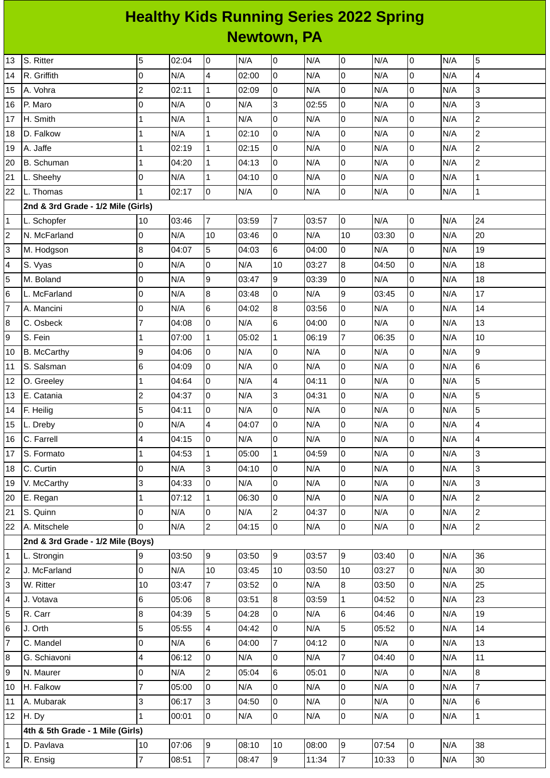## **Healthy Kids Running Series 2022 Spring Newtown, PA**

| 13             | S. Ritter                          | 5                        | 02:04 | 0              | N/A   | 0              | N/A   | $\overline{0}$ | N/A   | $\overline{0}$ | N/A | 5              |
|----------------|------------------------------------|--------------------------|-------|----------------|-------|----------------|-------|----------------|-------|----------------|-----|----------------|
| 14             | R. Griffith                        | 0                        | N/A   | 4              | 02:00 | $\pmb{0}$      | N/A   | $\overline{0}$ | N/A   | $\overline{0}$ | N/A | 4              |
| 15             | A. Vohra                           | $\overline{c}$           | 02:11 | $\mathbf 1$    | 02:09 | 0              | N/A   | $\overline{0}$ | N/A   | $\overline{0}$ | N/A | 3              |
| 16             | P. Maro                            | 0                        | N/A   | 0              | N/A   | 3              | 02:55 | $\overline{0}$ | N/A   | $\overline{0}$ | N/A | 3              |
| 17             | H. Smith                           | $\mathbf{1}$             | N/A   | $\mathbf{1}$   | N/A   | 0              | N/A   | $\overline{0}$ | N/A   | $\overline{0}$ | N/A | $\overline{c}$ |
| 18             | D. Falkow                          | 1                        | N/A   | $\mathbf{1}$   | 02:10 | 0              | N/A   | $\overline{0}$ | N/A   | $\overline{0}$ | N/A | $\overline{c}$ |
| 19             | A. Jaffe                           | $\mathbf 1$              | 02:19 | $\mathbf{1}$   | 02:15 | 0              | N/A   | 0              | N/A   | $\overline{0}$ | N/A | $\overline{c}$ |
| 20             | <b>B.</b> Schuman                  | $\mathbf 1$              | 04:20 | $\mathbf{1}$   | 04:13 | $\mathsf{O}$   | N/A   | $\overline{0}$ | N/A   | $\overline{0}$ | N/A | $\overline{c}$ |
| 21             | L. Sheehy                          | 0                        | N/A   | $\mathbf{1}$   | 04:10 | 0              | N/A   | 0              | N/A   | $\overline{0}$ | N/A | $\mathbf{1}$   |
| 22             | L. Thomas                          | $\mathbf{1}$             | 02:17 | $\overline{0}$ | N/A   | 0              | N/A   | $\overline{0}$ | N/A   | $\overline{0}$ | N/A | $\mathbf 1$    |
|                | 2nd & 3rd Grade - 1/2 Mile (Girls) |                          |       |                |       |                |       |                |       |                |     |                |
| $\mathbf{1}$   | L. Schopfer                        | 10                       | 03:46 | $\overline{7}$ | 03:59 | $\overline{7}$ | 03:57 | $\overline{0}$ | N/A   | $\overline{0}$ | N/A | 24             |
| $\overline{c}$ | N. McFarland                       | $\overline{0}$           | N/A   | 10             | 03:46 | 0              | N/A   | 10             | 03:30 | $\overline{0}$ | N/A | 20             |
| 3              | M. Hodgson                         | 8                        | 04:07 | 5              | 04:03 | 6              | 04:00 | $\overline{0}$ | N/A   | $\overline{0}$ | N/A | 19             |
| 4              | S. Vyas                            | 0                        | N/A   | $\overline{0}$ | N/A   | 10             | 03:27 | $8\,$          | 04:50 | $\overline{0}$ | N/A | 18             |
| 5              | M. Boland                          | 0                        | N/A   | 9              | 03:47 | 9              | 03:39 | $\overline{0}$ | N/A   | $\overline{0}$ | N/A | 18             |
| 6              | L. McFarland                       | 0                        | N/A   | 8              | 03:48 | 0              | N/A   | 9              | 03:45 | $\overline{0}$ | N/A | 17             |
| $\overline{7}$ | A. Mancini                         | 0                        | N/A   | 6              | 04:02 | 8              | 03:56 | 0              | N/A   | $\overline{0}$ | N/A | 14             |
| 8              | C. Osbeck                          | $\overline{7}$           | 04:08 | $\mathsf 0$    | N/A   | 6              | 04:00 | $\overline{0}$ | N/A   | $\overline{0}$ | N/A | 13             |
| 9              | S. Fein                            | $\mathbf{1}$             | 07:00 | $\mathbf{1}$   | 05:02 | $\mathbf 1$    | 06:19 | $\overline{7}$ | 06:35 | $\overline{0}$ | N/A | 10             |
| $10\,$         | <b>B.</b> McCarthy                 | 9                        | 04:06 | $\overline{0}$ | N/A   | 0              | N/A   | $\overline{0}$ | N/A   | $\overline{0}$ | N/A | 9              |
| 11             | S. Salsman                         | 6                        | 04:09 | $\mathsf 0$    | N/A   | 0              | N/A   | $\overline{0}$ | N/A   | $\overline{0}$ | N/A | 6              |
| 12             | O. Greeley                         | $\mathbf 1$              | 04:64 | $\overline{0}$ | N/A   | 4              | 04:11 | $\overline{0}$ | N/A   | $\overline{0}$ | N/A | 5              |
| 13             | E. Catania                         | $\overline{c}$           | 04:37 | 0              | N/A   | 3              | 04:31 | $\overline{0}$ | N/A   | $\mathsf 0$    | N/A | 5              |
| 14             | F. Heilig                          | 5                        | 04:11 | $\overline{0}$ | N/A   | 0              | N/A   | $\overline{0}$ | N/A   | $\overline{0}$ | N/A | 5              |
| 15             | L. Dreby                           | 0                        | N/A   | 4              | 04:07 | 0              | N/A   | 0              | N/A   | $\overline{0}$ | N/A | 4              |
| 16             | C. Farrell                         | $\overline{\mathcal{L}}$ | 04:15 | $\mathsf 0$    | N/A   | 0              | N/A   | $\overline{0}$ | N/A   | $\mathsf 0$    | N/A | 4              |
| 17             | S. Formato                         | 1                        | 04:53 | $\mathbf 1$    | 05:00 | $\mathbf 1$    | 04:59 | 0              | N/A   | 0              | N/A | 3              |
| 18             | C. Curtin                          | 0                        | N/A   | 3              | 04:10 | l0             | N/A   | $\overline{0}$ | N/A   | $\overline{0}$ | N/A | 3              |
| 19             | V. McCarthy                        | 3                        | 04:33 | 0              | N/A   | 0              | N/A   | $\overline{0}$ | N/A   | $\overline{0}$ | N/A | 3              |
| 20             | E. Regan                           | $\mathbf 1$              | 07:12 | $\mathbf{1}$   | 06:30 | 0              | N/A   | O              | N/A   | $\overline{0}$ | N/A | $\overline{c}$ |
| 21             | S. Quinn                           | 0                        | N/A   | 0              | N/A   | $\overline{c}$ | 04:37 | $\overline{0}$ | N/A   | $\overline{0}$ | N/A | $\overline{c}$ |
| 22             | A. Mitschele                       | $\Omega$                 | N/A   | $\overline{c}$ | 04:15 | l0             | N/A   | $\overline{0}$ | N/A   | $\overline{0}$ | N/A | $\overline{2}$ |
|                | 2nd & 3rd Grade - 1/2 Mile (Boys)  |                          |       |                |       |                |       |                |       |                |     |                |
| 1              | L. Strongin                        | 9                        | 03:50 | 9              | 03:50 | g              | 03:57 | $\overline{9}$ | 03:40 | $\overline{0}$ | N/A | 36             |
| $\overline{c}$ | J. McFarland                       | 0                        | N/A   | 10             | 03:45 | $10\,$         | 03:50 | 10             | 03:27 | $\overline{0}$ | N/A | 30             |
| 3              | W. Ritter                          | 10                       | 03:47 | $\overline{7}$ | 03:52 | 0              | N/A   | 8              | 03:50 | $\overline{0}$ | N/A | 25             |
| 4              | J. Votava                          | 6                        | 05:06 | 8              | 03:51 | 8              | 03:59 | $\mathbf{1}$   | 04:52 | $\overline{0}$ | N/A | 23             |
| 5              | R. Carr                            | 8                        | 04:39 | 5              | 04:28 | 0              | N/A   | 6              | 04:46 | $\overline{0}$ | N/A | 19             |
| 6              | J. Orth                            | 5                        | 05:55 | 4              | 04:42 | 0              | N/A   | 5              | 05:52 | $\overline{0}$ | N/A | 14             |
| $\overline{7}$ | C. Mandel                          | 0                        | N/A   | 6              | 04:00 | $\overline{7}$ | 04:12 | $\overline{0}$ | N/A   | $\overline{0}$ | N/A | 13             |
| 8              | G. Schiavoni                       | 4                        | 06:12 | $\overline{0}$ | N/A   | 0              | N/A   | $\overline{7}$ | 04:40 | $\overline{0}$ | N/A | 11             |
| 9              | N. Maurer                          | 0                        | N/A   | $\overline{c}$ | 05:04 | $6\phantom{a}$ | 05:01 | $\overline{0}$ | N/A   | $\overline{0}$ | N/A | 8              |
| 10             | H. Falkow                          | 7                        | 05:00 | 0              | N/A   | 0              | N/A   | 0              | N/A   | $\overline{0}$ | N/A | $\overline{7}$ |
| 11             | A. Mubarak                         | 3                        | 06:17 | 3              | 04:50 | 0              | N/A   | 0              | N/A   | $\overline{0}$ | N/A | 6              |
| 12             | H. Dy                              | $\mathbf{1}$             | 00:01 | $\overline{0}$ | N/A   | 0              | N/A   | $\overline{0}$ | N/A   | $\overline{0}$ | N/A | $\mathbf{1}$   |
|                | 4th & 5th Grade - 1 Mile (Girls)   |                          |       |                |       |                |       |                |       |                |     |                |
| 1              | D. Pavlava                         | 10                       | 07:06 | 9              | 08:10 | 10             | 08:00 | $\overline{9}$ | 07:54 | $\overline{0}$ | N/A | 38             |
| $\overline{c}$ | R. Ensig                           | $\overline{7}$           | 08:51 | $\bf 7$        | 08:47 | 9              | 11:34 | $\overline{7}$ | 10:33 | $\overline{0}$ | N/A | 30             |
|                |                                    |                          |       |                |       |                |       |                |       |                |     |                |